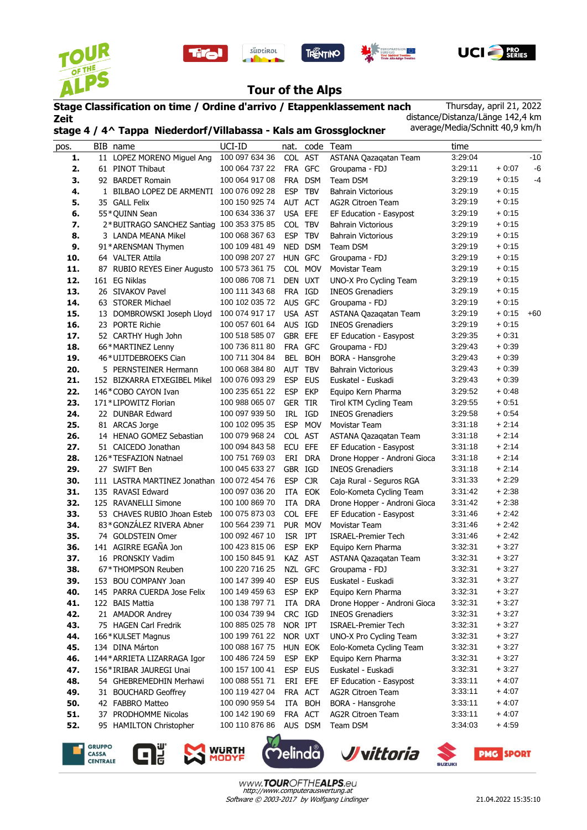









## **Tour of the Alps**

süptirol

## **Stage Classification on time / Ordine d'arrivo / Etappenklassement nach Zeit stage 4 / 4^ Tappa Niederdorf/Villabassa - Kals am Grossglockner**

Thursday, april 21, 2022 distance/Distanza/Länge 142,4 km average/Media/Schnitt 40,9 km/h

| pos. |     | BIB name                                  | UCI-ID         |            |            | nat. code Team               | time    |         |       |
|------|-----|-------------------------------------------|----------------|------------|------------|------------------------------|---------|---------|-------|
| 1.   |     | 11 LOPEZ MORENO Miguel Ang                | 100 097 634 36 | COL AST    |            | ASTANA Qazaqatan Team        | 3:29:04 |         | $-10$ |
| 2.   |     | 61 PINOT Thibaut                          | 100 064 737 22 |            | FRA GFC    | Groupama - FDJ               | 3:29:11 | $+0.07$ | $-6$  |
| 3.   |     | 92 BARDET Romain                          | 100 064 917 08 |            | FRA DSM    | Team DSM                     | 3:29:19 | $+0.15$ | -4    |
| 4.   |     | 1 BILBAO LOPEZ DE ARMENTI                 | 100 076 092 28 | <b>ESP</b> | <b>TBV</b> | <b>Bahrain Victorious</b>    | 3:29:19 | $+0.15$ |       |
| 5.   |     | 35 GALL Felix                             | 100 150 925 74 | AUT ACT    |            | <b>AG2R Citroen Team</b>     | 3:29:19 | $+0.15$ |       |
| 6.   |     | 55*QUINN Sean                             | 100 634 336 37 | USA EFE    |            | EF Education - Easypost      | 3:29:19 | $+0.15$ |       |
| 7.   |     | 2*BUITRAGO SANCHEZ Santiag 100 353 375 85 |                | COL TBV    |            | <b>Bahrain Victorious</b>    | 3:29:19 | $+0.15$ |       |
| 8.   |     | 3 LANDA MEANA Mikel                       | 100 068 367 63 | <b>ESP</b> | <b>TBV</b> | <b>Bahrain Victorious</b>    | 3:29:19 | $+0.15$ |       |
| 9.   |     | 91*ARENSMAN Thymen                        | 100 109 481 49 |            | NED DSM    | Team DSM                     | 3:29:19 | $+0.15$ |       |
| 10.  |     | 64 VALTER Attila                          | 100 098 207 27 |            | HUN GFC    | Groupama - FDJ               | 3:29:19 | $+0.15$ |       |
| 11.  |     | 87 RUBIO REYES Einer Augusto              | 100 573 361 75 |            | COL MOV    | Movistar Team                | 3:29:19 | $+0:15$ |       |
| 12.  |     | 161 EG Niklas                             | 100 086 708 71 | DEN UXT    |            | UNO-X Pro Cycling Team       | 3:29:19 | $+0:15$ |       |
| 13.  |     | 26 SIVAKOV Pavel                          | 100 111 343 68 | FRA IGD    |            | <b>INEOS Grenadiers</b>      | 3:29:19 | $+0.15$ |       |
| 14.  |     | 63 STORER Michael                         | 100 102 035 72 |            | AUS GFC    | Groupama - FDJ               | 3:29:19 | $+0.15$ |       |
| 15.  |     | 13 DOMBROWSKI Joseph Lloyd                | 100 074 917 17 | USA AST    |            | ASTANA Qazaqatan Team        | 3:29:19 | $+0.15$ | $+60$ |
| 16.  |     | 23 PORTE Richie                           | 100 057 601 64 | AUS IGD    |            | <b>INEOS Grenadiers</b>      | 3:29:19 | $+0:15$ |       |
| 17.  |     | 52 CARTHY Hugh John                       | 100 518 585 07 | GBR EFE    |            | EF Education - Easypost      | 3:29:35 | $+0:31$ |       |
| 18.  |     | 66*MARTINEZ Lenny                         | 100 736 811 80 | FRA        | <b>GFC</b> | Groupama - FDJ               | 3:29:43 | $+0.39$ |       |
| 19.  |     | 46*UIJTDEBROEKS Cian                      | 100 711 304 84 | BEL        | <b>BOH</b> | BORA - Hansgrohe             | 3:29:43 | $+0.39$ |       |
| 20.  |     | 5 PERNSTEINER Hermann                     | 100 068 384 80 | AUT        | <b>TBV</b> | <b>Bahrain Victorious</b>    | 3:29:43 | $+0.39$ |       |
| 21.  |     | 152 BIZKARRA ETXEGIBEL Mikel              | 100 076 093 29 | <b>ESP</b> | <b>EUS</b> | Euskatel - Euskadi           | 3:29:43 | $+0.39$ |       |
| 22.  |     | 146*COBO CAYON Ivan                       | 100 235 651 22 | <b>ESP</b> | <b>EKP</b> | Equipo Kern Pharma           | 3:29:52 | $+0.48$ |       |
| 23.  |     | 171*LIPOWITZ Florian                      | 100 988 065 07 | GER TIR    |            | Tirol KTM Cycling Team       | 3:29:55 | $+0:51$ |       |
| 24.  |     | 22 DUNBAR Edward                          | 100 097 939 50 |            | IRL IGD    | <b>INEOS Grenadiers</b>      | 3:29:58 | $+0.54$ |       |
| 25.  |     | 81 ARCAS Jorge                            | 100 102 095 35 | <b>ESP</b> | <b>MOV</b> | Movistar Team                | 3:31:18 | $+2:14$ |       |
| 26.  |     | 14 HENAO GOMEZ Sebastian                  | 100 079 968 24 |            | COL AST    | ASTANA Qazaqatan Team        | 3:31:18 | $+2:14$ |       |
| 27.  |     | 51 CAICEDO Jonathan                       | 100 094 843 58 | ECU        | EFE        | EF Education - Easypost      | 3:31:18 | $+2:14$ |       |
| 28.  |     | 126*TESFAZION Natnael                     | 100 751 769 03 | ERI        | <b>DRA</b> | Drone Hopper - Androni Gioca | 3:31:18 | $+2:14$ |       |
| 29.  |     | 27 SWIFT Ben                              | 100 045 633 27 | GBR IGD    |            | <b>INEOS Grenadiers</b>      | 3:31:18 | $+2:14$ |       |
| 30.  |     | 111 LASTRA MARTINEZ Jonathan              | 100 072 454 76 | <b>ESP</b> | <b>CJR</b> | Caja Rural - Seguros RGA     | 3:31:33 | $+2:29$ |       |
| 31.  |     | 135 RAVASI Edward                         | 100 097 036 20 | ITA        | <b>EOK</b> | Eolo-Kometa Cycling Team     | 3:31:42 | $+2:38$ |       |
| 32.  |     | 125 RAVANELLI Simone                      | 100 100 869 70 |            | ITA DRA    | Drone Hopper - Androni Gioca | 3:31:42 | $+2:38$ |       |
| 33.  |     | 53 CHAVES RUBIO Jhoan Esteb               | 100 075 873 03 | COL EFE    |            | EF Education - Easypost      | 3:31:46 | $+2:42$ |       |
| 34.  |     | 83*GONZÁLEZ RIVERA Abner                  | 100 564 239 71 |            | PUR MOV    | Movistar Team                | 3:31:46 | $+2:42$ |       |
| 35.  |     | 74 GOLDSTEIN Omer                         | 100 092 467 10 | <b>ISR</b> | IPT        | <b>ISRAEL-Premier Tech</b>   | 3:31:46 | $+2:42$ |       |
| 36.  |     | 141 AGIRRE EGAÑA Jon                      | 100 423 815 06 | <b>ESP</b> | <b>EKP</b> | Equipo Kern Pharma           | 3:32:31 | $+3:27$ |       |
| 37.  |     | 16 PRONSKIY Vadim                         | 100 150 845 91 |            | KAZ AST    | ASTANA Qazaqatan Team        | 3:32:31 | $+3:27$ |       |
| 38.  |     | 67*THOMPSON Reuben                        | 100 220 716 25 |            | NZL GFC    | Groupama - FDJ               | 3:32:31 | $+3:27$ |       |
| 39.  | 153 | <b>BOU COMPANY Joan</b>                   | 100 147 399 40 | ESP        | EUS        | Euskatel - Euskadi           | 3:32:31 | $+3:27$ |       |
| 40.  |     | 145 PARRA CUERDA Jose Felix               | 100 149 459 63 | <b>ESP</b> | EKP        | Equipo Kern Pharma           | 3:32:31 | $+3.27$ |       |
| 41.  |     | 122 BAIS Mattia                           | 100 138 797 71 |            | ITA DRA    | Drone Hopper - Androni Gioca | 3:32:31 | $+3:27$ |       |
| 42.  |     | 21 AMADOR Andrey                          | 100 034 739 94 | CRC IGD    |            | <b>INEOS Grenadiers</b>      | 3:32:31 | $+3:27$ |       |
| 43.  |     | 75 HAGEN Carl Fredrik                     | 100 885 025 78 | NOR IPT    |            | <b>ISRAEL-Premier Tech</b>   | 3:32:31 | $+3:27$ |       |
| 44.  |     | 166*KULSET Magnus                         | 100 199 761 22 |            | NOR UXT    | UNO-X Pro Cycling Team       | 3:32:31 | $+3:27$ |       |
| 45.  |     | 134 DINA Márton                           | 100 088 167 75 |            | HUN EOK    | Eolo-Kometa Cycling Team     | 3:32:31 | $+3:27$ |       |
| 46.  |     | 144* ARRIETA LIZARRAGA Igor               | 100 486 724 59 |            | ESP EKP    | Equipo Kern Pharma           | 3:32:31 | $+3:27$ |       |
| 47.  |     | 156*IRIBAR JAUREGI Unai                   | 100 157 100 41 | <b>ESP</b> | <b>EUS</b> | Euskatel - Euskadi           | 3:32:31 | $+3:27$ |       |
| 48.  |     | 54 GHEBREMEDHIN Merhawi                   | 100 088 551 71 | eri        | EFE        | EF Education - Easypost      | 3:33:11 | $+4:07$ |       |
| 49.  |     | 31 BOUCHARD Geoffrey                      | 100 119 427 04 |            | FRA ACT    | AG2R Citroen Team            | 3:33:11 | $+4:07$ |       |
| 50.  |     | 42 FABBRO Matteo                          | 100 090 959 54 |            | ITA BOH    | BORA - Hansgrohe             | 3:33:11 | $+4.07$ |       |
| 51.  |     | 37 PRODHOMME Nicolas                      | 100 142 190 69 |            | FRA ACT    | <b>AG2R Citroen Team</b>     | 3:33:11 | $+4:07$ |       |
| 52.  |     | 95 HAMILTON Christopher                   | 100 110 876 86 |            | AUS DSM    | Team DSM                     | 3:34:03 | $+4.59$ |       |
|      |     |                                           |                |            |            |                              |         |         |       |









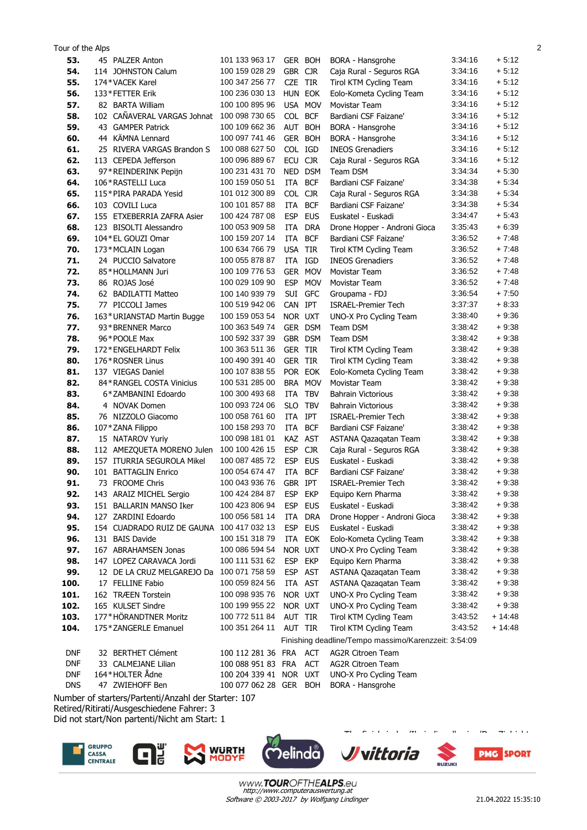| 53.                      | 45 PALZER Anton                                | 101 133 963 17                           | GER BOH            |                   | BORA - Hansgrohe                                     | 3:34:16            | $+5:12$           |
|--------------------------|------------------------------------------------|------------------------------------------|--------------------|-------------------|------------------------------------------------------|--------------------|-------------------|
| 54.                      | 114 JOHNSTON Calum                             | 100 159 028 29                           | GBR CJR            |                   | Caja Rural - Seguros RGA                             | 3:34:16            | $+5:12$           |
| 55.                      | 174*VACEK Karel                                | 100 347 256 77                           | CZE TIR            |                   | Tirol KTM Cycling Team                               | 3:34:16            | $+5:12$           |
| 56.                      | 133*FETTER Erik                                | 100 236 030 13                           | HUN EOK            |                   | Eolo-Kometa Cycling Team                             | 3:34:16            | $+5:12$           |
| 57.                      | 82 BARTA William                               | 100 100 895 96                           | USA MOV            |                   | Movistar Team                                        | 3:34:16            | $+5:12$           |
| 58.                      | 102 CAÑAVERAL VARGAS Johnat                    | 100 098 730 65                           | COL BCF            |                   | Bardiani CSF Faizane'                                | 3:34:16            | $+5:12$           |
| 59.                      | 43 GAMPER Patrick                              | 100 109 662 36                           | AUT BOH            |                   | BORA - Hansgrohe                                     | 3:34:16            | $+5:12$           |
| 60.                      | 44 KÄMNA Lennard                               | 100 097 741 46                           | GER BOH            |                   | BORA - Hansgrohe                                     | 3:34:16            | $+5:12$           |
| 61.                      | 25 RIVERA VARGAS Brandon S                     | 100 088 627 50                           | COL IGD            |                   | <b>INEOS Grenadiers</b>                              | 3:34:16            | $+5:12$           |
| 62.                      | 113 CEPEDA Jefferson                           | 100 096 889 67                           | ECU                | <b>CJR</b>        | Caja Rural - Seguros RGA                             | 3:34:16            | $+5:12$           |
| 63.                      | 97*REINDERINK Pepijn                           | 100 231 431 70                           | <b>NED</b>         | <b>DSM</b>        | Team DSM                                             | 3:34:34            | $+5:30$           |
| 64.                      | 106 * RASTELLI Luca                            | 100 159 050 51                           | ITA                | <b>BCF</b>        | Bardiani CSF Faizane'                                | 3:34:38            | $+5:34$           |
| 65.                      | 115*PIRA PARADA Yesid                          | 101 012 300 89                           | COL CJR            |                   | Caja Rural - Seguros RGA                             | 3:34:38            | $+5:34$           |
| 66.                      | 103 COVILI Luca                                | 100 101 857 88                           | <b>ITA</b>         | <b>BCF</b>        | Bardiani CSF Faizane'                                | 3:34:38            | $+5:34$           |
| 67.                      | 155 ETXEBERRIA ZAFRA Asier                     | 100 424 787 08                           | <b>ESP</b>         | <b>EUS</b>        | Euskatel - Euskadi                                   | 3:34:47            | $+5:43$           |
| 68.                      | 123 BISOLTI Alessandro                         | 100 053 909 58                           | ITA                | <b>DRA</b>        | Drone Hopper - Androni Gioca                         | 3:35:43            | $+6:39$           |
| 69.                      | 104 * EL GOUZI Omar                            | 100 159 207 14                           | <b>ITA</b>         | <b>BCF</b>        | Bardiani CSF Faizane'                                | 3:36:52            | $+7:48$           |
| 70.                      | 173*MCLAIN Logan                               | 100 634 766 79                           | <b>USA</b>         | TIR               | Tirol KTM Cycling Team                               | 3:36:52            | $+7:48$           |
| 71.                      | 24 PUCCIO Salvatore                            | 100 055 878 87                           | ITA                | IGD               | <b>INEOS Grenadiers</b>                              | 3:36:52            | $+7:48$           |
| 72.                      | 85*HOLLMANN Juri                               | 100 109 776 53                           | GER MOV            |                   | Movistar Team                                        | 3:36:52            | $+7:48$           |
| 73.                      | 86 ROJAS José                                  | 100 029 109 90                           | <b>ESP</b>         | <b>MOV</b>        | Movistar Team                                        | 3:36:52            | $+7:48$           |
| 74.                      | 62 BADILATTI Matteo                            | 100 140 939 79                           | SUI GFC            |                   | Groupama - FDJ                                       | 3:36:54            | $+7:50$           |
| 75.                      | 77 PICCOLI James                               | 100 519 942 06                           | CAN IPT            |                   | <b>ISRAEL-Premier Tech</b>                           | 3:37:37            | $+8:33$           |
| 76.                      | 163*URIANSTAD Martin Bugge                     | 100 159 053 54                           | NOR UXT            |                   | UNO-X Pro Cycling Team                               | 3:38:40            | $+9:36$           |
| 77.                      | 93*BRENNER Marco                               | 100 363 549 74                           | GER DSM            |                   | Team DSM                                             | 3:38:42            | $+9:38$           |
| 78.                      | 96*POOLE Max                                   | 100 592 337 39                           | GBR DSM            |                   | Team DSM                                             | 3:38:42            | $+9:38$           |
| 79.                      | 172 * ENGELHARDT Felix                         | 100 363 511 36                           | <b>GER TIR</b>     |                   | Tirol KTM Cycling Team                               | 3:38:42            | $+9.38$           |
| 80.                      | 176*ROSNER Linus                               | 100 490 391 40                           | <b>GER TIR</b>     |                   | Tirol KTM Cycling Team                               | 3:38:42            | $+9.38$           |
| 81.                      | 137 VIEGAS Daniel                              | 100 107 838 55                           | POR EOK            |                   | Eolo-Kometa Cycling Team                             | 3:38:42            | $+9.38$           |
| 82.                      | 84 * RANGEL COSTA Vinicius                     | 100 531 285 00                           | BRA MOV            |                   | Movistar Team                                        | 3:38:42            | $+9.38$           |
| 83.                      | 6*ZAMBANINI Edoardo                            | 100 300 493 68                           | ITA                | <b>TBV</b>        | Bahrain Victorious                                   | 3:38:42            | $+9:38$           |
| 84.                      | 4 NOVAK Domen                                  | 100 093 724 06                           | <b>SLO</b>         | <b>TBV</b>        | Bahrain Victorious                                   | 3:38:42            | $+9:38$           |
| 85.                      | 76 NIZZOLO Giacomo                             | 100 058 761 60                           | <b>ITA</b>         | <b>IPT</b>        | <b>ISRAEL-Premier Tech</b>                           | 3:38:42            | $+9:38$           |
| 86.                      | 107*ZANA Filippo                               | 100 158 293 70                           | ITA                | <b>BCF</b>        | Bardiani CSF Faizane'                                | 3:38:42            | $+9:38$           |
| 87.                      | 15 NATAROV Yuriy                               | 100 098 181 01                           | KAZ AST            |                   | ASTANA Qazagatan Team                                | 3:38:42            | $+9:38$           |
| 88.                      | 112 AMEZQUETA MORENO Julen                     | 100 100 426 15                           | <b>ESP</b>         | <b>CJR</b>        | Caja Rural - Seguros RGA                             | 3:38:42            | $+9:38$           |
| 89.                      | 157 ITURRIA SEGUROLA Mikel                     | 100 087 485 72                           | <b>ESP</b>         | <b>EUS</b>        | Euskatel - Euskadi                                   | 3:38:42            | $+9.38$           |
| 90.                      | 101 BATTAGLIN Enrico                           | 100 054 674 47                           | ITA                | <b>BCF</b>        | Bardiani CSF Faizane'                                | 3:38:42            | $+9:38$           |
| 91.                      | 73 FROOME Chris                                | 100 043 936 76                           | GBR IPT            |                   | <b>ISRAEL-Premier Tech</b>                           | 3:38:42            | $+9:38$           |
| 92.                      | 143 ARAIZ MICHEL Sergio                        | 100 424 284 87                           | ESP EKP            |                   | Equipo Kern Pharma                                   | 3:38:42            | $+9:38$           |
| 93.                      | 151 BALLARIN MANSO Iker<br>127 ZARDINI Edoardo | 100 423 806 94                           | ESP EUS            |                   | Euskatel - Euskadi                                   | 3:38:42<br>3:38:42 | $+9.38$           |
| 94.                      |                                                | 100 056 581 14                           | ITA DRA            |                   | Drone Hopper - Androni Gioca<br>Euskatel - Euskadi   | 3:38:42            | $+9.38$           |
| 95.<br>96.               | 154 CUADRADO RUIZ DE GAUNA<br>131 BAIS Davide  | 100 417 032 13<br>100 151 318 79         | ESP EUS<br>ITA EOK |                   |                                                      | 3:38:42            | $+9:38$<br>+ 9:38 |
| 97.                      | 167 ABRAHAMSEN Jonas                           | 100 086 594 54                           | NOR UXT            |                   | Eolo-Kometa Cycling Team<br>UNO-X Pro Cycling Team   | 3:38:42            | $+9:38$           |
| 98.                      | 147 LOPEZ CARAVACA Jordi                       | 100 111 531 62                           | ESP EKP            |                   | Equipo Kern Pharma                                   | 3:38:42            | + 9:38            |
| 99.                      | 12 DE LA CRUZ MELGAREJO Da                     | 100 071 758 59                           | ESP AST            |                   | ASTANA Qazaqatan Team                                | 3:38:42            | $+9.38$           |
| 100.                     | 17 FELLINE Fabio                               | 100 059 824 56                           | ITA AST            |                   | ASTANA Qazaqatan Team                                | 3:38:42            | $+9:38$           |
| 101.                     | 162 TRÆEN Torstein                             | 100 098 935 76                           | NOR UXT            |                   | UNO-X Pro Cycling Team                               | 3:38:42            | $+9:38$           |
| 102.                     | 165 KULSET Sindre                              | 100 199 955 22                           | NOR UXT            |                   | UNO-X Pro Cycling Team                               | 3:38:42            | $+9.38$           |
| 103.                     | 177*HÖRANDTNER Moritz                          | 100 772 511 84                           | AUT TIR            |                   | Tirol KTM Cycling Team                               | 3:43:52            | $+14:48$          |
| 104.                     | 175 * ZANGERLE Emanuel                         | 100 351 264 11                           | AUT TIR            |                   | Tirol KTM Cycling Team                               | 3:43:52            | + 14:48           |
|                          |                                                |                                          |                    |                   | Finishing deadline/Tempo massimo/Karenzzeit: 3:54:09 |                    |                   |
|                          |                                                |                                          |                    |                   |                                                      |                    |                   |
| <b>DNF</b><br><b>DNF</b> | 32 BERTHET Clément<br>33 CALMEJANE Lilian      | 100 112 281 36 FRA<br>100 088 951 83 FRA |                    | ACT<br><b>ACT</b> | <b>AG2R Citroen Team</b><br><b>AG2R Citroen Team</b> |                    |                   |
| <b>DNF</b>               | 164*HOLTER Ådne                                | 100 204 339 41 NOR UXT                   |                    |                   | UNO-X Pro Cycling Team                               |                    |                   |
| <b>DNS</b>               | 47 ZWIEHOFF Ben                                | 100 077 062 28 GER BOH                   |                    |                   | BORA - Hansgrohe                                     |                    |                   |
|                          |                                                |                                          |                    |                   |                                                      |                    |                   |

Tour of the Alps 2

Number of starters/Partenti/Anzahl der Starter: 107 Retired/Ritirati/Ausgeschiedene Fahrer: 3

 $\mathbf G^{\text{\tiny U}}$ 

Did not start/Non partenti/Nicht am Start: 1









The finish-judge/Il giudice d'arrivo/Der Zielrichter

Software © 2003-2017 by Wolfgang Lindinger http://www.computerauswertung.at